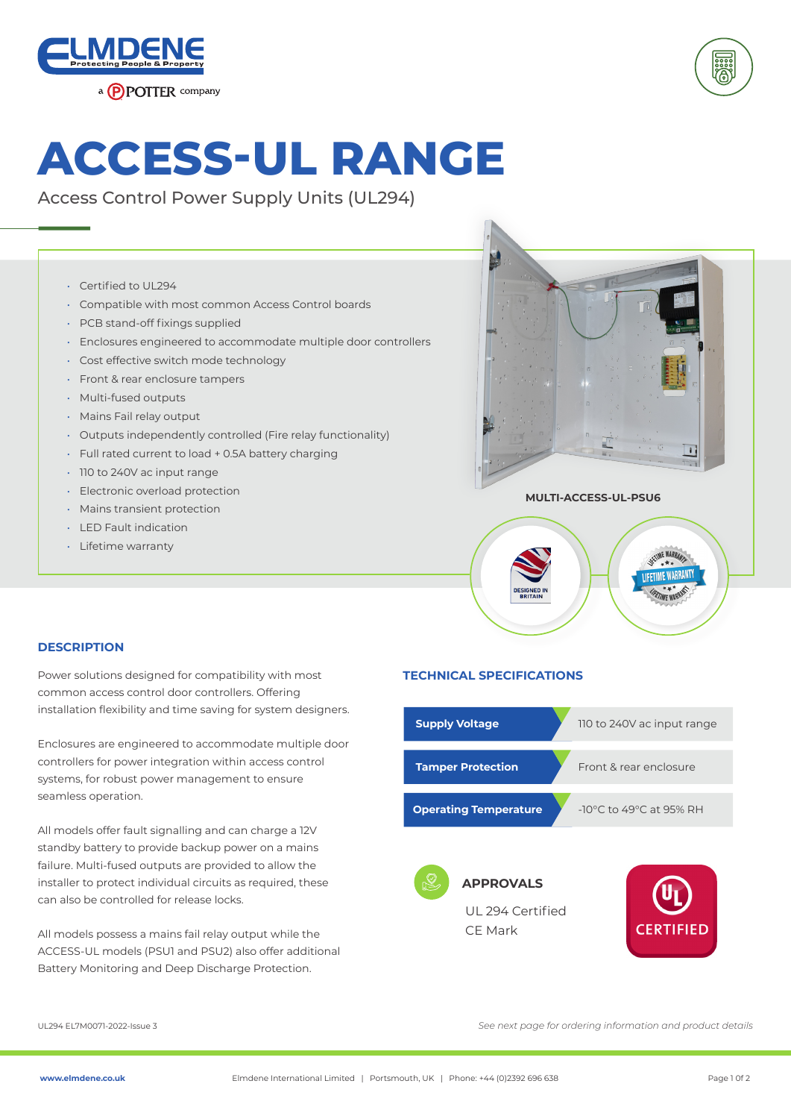



# **ACCESS-UL RANGE**

Access Control Power Supply Units (UL294)

- Certified to UL294
- Compatible with most common Access Control boards
- PCB stand-off fixings supplied
- Enclosures engineered to accommodate multiple door controllers
- Cost effective switch mode technology
- Front & rear enclosure tampers
- Multi-fused outputs
- Mains Fail relay output
- Outputs independently controlled (Fire relay functionality)
- Full rated current to load + 0.5A battery charging
- 110 to 240V ac input range
- Electronic overload protection
- Mains transient protection
- LED Fault indication
- Lifetime warranty





# **DESCRIPTION**

Power solutions designed for compatibility with most **TECHNICAL SPECIFICATIONS** common access control door controllers. Offering installation flexibility and time saving for system designers.

Enclosures are engineered to accommodate multiple door controllers for power integration within access control systems, for robust power management to ensure seamless operation.

All models offer fault signalling and can charge a 12V standby battery to provide backup power on a mains failure. Multi-fused outputs are provided to allow the installer to protect individual circuits as required, these can also be controlled for release locks.

All models possess a mains fail relay output while the ACCESS-UL models (PSU1 and PSU2) also offer additional Battery Monitoring and Deep Discharge Protection.

| <b>Supply Voltage</b>                           | 110 to 240V ac input range                  |  |
|-------------------------------------------------|---------------------------------------------|--|
| <b>Tamper Protection</b>                        | Front & rear enclosure                      |  |
| <b>Operating Temperature</b>                    | -10 $\degree$ C to 49 $\degree$ C at 95% RH |  |
| <b>APPROVALS</b><br>UL 294 Certified<br>CF Mark | <b>CERTIFIED</b>                            |  |

UL294 EL7M0071-2022-Issue 3

*See next page for ordering information and product details*